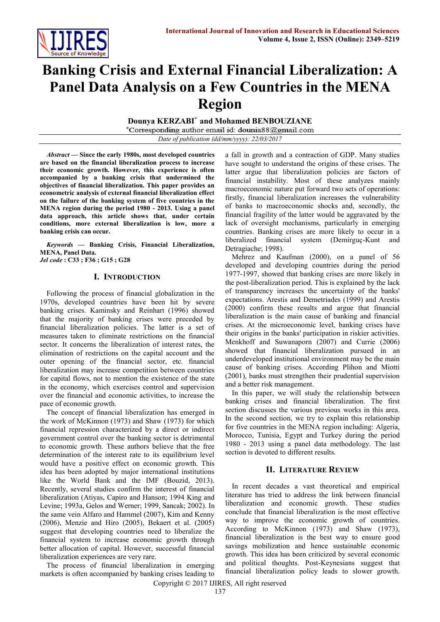

# **Banking Crisis and External Financial Liberalization: A Panel Data Analysis on a Few Countries in the MENA Region**

**Dounya KERZABI\* and Mohamed BENBOUZIANE**

\*Corresponding author email id: dounia88@gmail.com

*Date of publication (dd/mm/yyyy): 22/03/2017*

*Abstract —* **Since the early 1980s, most developed countries are based on the financial liberalization process to increase their economic growth. However, this experience is often accompanied by a banking crisis that undermined the objectives of financial liberalization. This paper provides an econometric analysis of external financial liberalization effect on the failure of the banking system of five countries in the MENA region during the period 1980 - 2013. Using a panel data approach, this article shows that, under certain conditions, more external liberalization is low, more a banking crisis can occur.**

*Keywords* **— Banking Crisis, Financial Liberalization, MENA, Panel Data.**

*Jel code* **: C33 ; F36 ; G15 ; G28**

## **I. INTRODUCTION**

Following the process of financial globalization in the 1970s, developed countries have been hit by severe banking crises. Kaminsky and Reinhart (1996) showed that the majority of banking crises were preceded by financial liberalization policies. The latter is a set of measures taken to eliminate restrictions on the financial sector. It concerns the liberalization of interest rates, the elimination of restrictions on the capital account and the outer opening of the financial sector, etc. financial liberalization may increase competition between countries for capital flows, not to mention the existence of the state in the economy, which exercises control and supervision over the financial and economic activities, to increase the pace of economic growth.

The concept of financial liberalization has emerged in the work of McKinnon (1973) and Shaw (1973) for which financial repression characterized by a direct or indirect government control over the banking sector is detrimental to economic growth. These authors believe that the free determination of the interest rate to its equilibrium level would have a positive effect on economic growth. This idea has been adopted by major international institutions like the World Bank and the IMF (Bouzid, 2013). Recently, several studies confirm the interest of financial liberalization (Atiyas, Capiro and Hanson; 1994 King and Levine; 1993a, Gelos and Werner; 1999, Sancak; 2002). In the same vein Alfaro and Hammel (2007), Kim and Kenny (2006), Menzie and Hiro (2005), Bekaert et al. (2005) suggest that developing countries need to liberalize the financial system to increase economic growth through better allocation of capital. However, successful financial liberalization experiences are very rare.

The process of financial liberalization in emerging markets is often accompanied by banking crises leading to

a fall in growth and a contraction of GDP. Many studies have sought to understand the origins of these crises. The latter argue that liberalization policies are factors of financial instability. Most of these analyzes mainly macroeconomic nature put forward two sets of operations: firstly, financial liberalization increases the vulnerability of banks to macroeconomic shocks and, secondly, the financial fragility of the latter would be aggravated by the lack of oversight mechanisms, particularly in emerging countries. Banking crises are more likely to occur in a liberalized financial system (Demirguç-Kunt and Detragiache; 1998).

Mehrez and Kaufman (2000), on a panel of 56 developed and developing countries during the period 1977-1997, showed that banking crises are more likely in the post-liberalization period. This is explained by the lack of transparency increases the uncertainty of the banks' expectations. Arestis and Demetriades (1999) and Arestis (2000) confirm these results and argue that financial liberalization is the main cause of banking and financial crises. At the microeconomic level, banking crises have their origins in the banks' participation in riskier activities. Menkhoff and Suwanaporn (2007) and Currie (2006) showed that financial liberalization pursued in an underdeveloped institutional environment may be the main cause of banking crises. According Plihon and Miotti (2001), banks must strengthen their prudential supervision and a better risk management.

In this paper, we will study the relationship between banking crises and financial liberalization. The first section discusses the various previous works in this area. In the second section, we try to explain this relationship for five countries in the MENA region including: Algeria, Morocco, Tunisia, Egypt and Turkey during the period 1980 - 2013 using a panel data methodology. The last section is devoted to different results.

### **II. LITERATURE REVIEW**

In recent decades a vast theoretical and empirical literature has tried to address the link between financial liberalization and economic growth. These studies conclude that financial liberalization is the most effective way to improve the economic growth of countries. According to McKinnon (1973) and Shaw (1973), financial liberalization is the best way to ensure good savings mobilization and hence sustainable economic growth. This idea has been criticized by several economic and political thoughts. Post-Keynesians suggest that financial liberalization policy leads to slower growth.

Copyright © 2017 IJIRES, All right reserved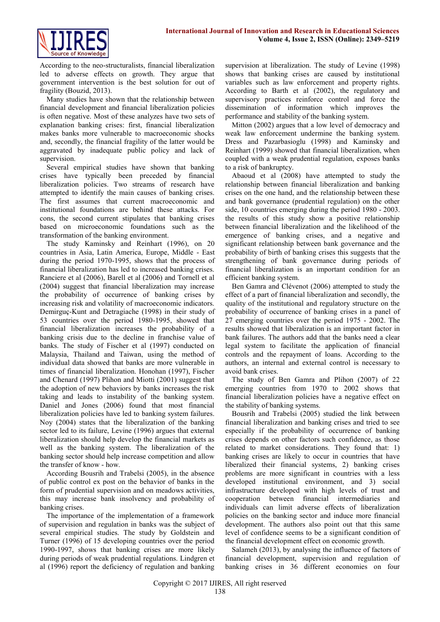

According to the neo-structuralists, financial liberalization led to adverse effects on growth. They argue that government intervention is the best solution for out of fragility (Bouzid, 2013).

Many studies have shown that the relationship between financial development and financial liberalization policies is often negative. Most of these analyzes have two sets of explanation banking crises: first, financial liberalization makes banks more vulnerable to macroeconomic shocks and, secondly, the financial fragility of the latter would be aggravated by inadequate public policy and lack of supervision.

Several empirical studies have shown that banking crises have typically been preceded by financial liberalization policies. Two streams of research have attempted to identify the main causes of banking crises. The first assumes that current macroeconomic and institutional foundations are behind these attacks. For cons, the second current stipulates that banking crises based on microeconomic foundations such as the transformation of the banking environment.

The study Kaminsky and Reinhart (1996), on 20 countries in Asia, Latin America, Europe, Middle - East during the period 1970-1995, shows that the process of financial liberalization has led to increased banking crises. Ranciere et al (2006), Barell et al (2006) and Tornell et al (2004) suggest that financial liberalization may increase the probability of occurrence of banking crises by increasing risk and volatility of macroeconomic indicators. Demirguç-Kunt and Detragiache (1998) in their study of 53 countries over the period 1980-1995, showed that financial liberalization increases the probability of a banking crisis due to the decline in franchise value of banks. The study of Fischer et al (1997) conducted on Malaysia, Thailand and Taiwan, using the method of individual data showed that banks are more vulnerable in times of financial liberalization. Honohan (1997), Fischer and Chenard (1997) Plihon and Miotti (2001) suggest that the adoption of new behaviors by banks increases the risk taking and leads to instability of the banking system. Daniel and Jones (2006) found that most financial liberalization policies have led to banking system failures. Noy (2004) states that the liberalization of the banking sector led to its failure, Levine (1996) argues that external liberalization should help develop the financial markets as well as the banking system. The liberalization of the banking sector should help increase competition and allow the transfer of know - how.

According Bousrih and Trabelsi (2005), in the absence of public control ex post on the behavior of banks in the form of prudential supervision and on meadows activities, this may increase bank insolvency and probability of banking crises.

The importance of the implementation of a framework of supervision and regulation in banks was the subject of several empirical studies. The study by Goldstein and Turner (1996) of 15 developing countries over the period 1990-1997, shows that banking crises are more likely during periods of weak prudential regulations. Lindgren et al (1996) report the deficiency of regulation and banking

supervision at liberalization. The study of Levine (1998) shows that banking crises are caused by institutional variables such as law enforcement and property rights. According to Barth et al (2002), the regulatory and supervisory practices reinforce control and force the dissemination of information which improves the performance and stability of the banking system.

Mitton (2002) argues that a low level of democracy and weak law enforcement undermine the banking system. Dress and Pazarbasioglu (1998) and Kaminsky and Reinhart (1999) showed that financial liberalization, when coupled with a weak prudential regulation, exposes banks to a risk of bankruptcy.

Abaoud et al (2008) have attempted to study the relationship between financial liberalization and banking crises on the one hand, and the relationship between these and bank governance (prudential regulation) on the other side, 10 countries emerging during the period 1980 - 2003. the results of this study show a positive relationship between financial liberalization and the likelihood of the emergence of banking crises, and a negative and significant relationship between bank governance and the probability of birth of banking crises this suggests that the strengthening of bank governance during periods of financial liberalization is an important condition for an efficient banking system.

Ben Gamra and Clévenot (2006) attempted to study the effect of a part of financial liberalization and secondly, the quality of the institutional and regulatory structure on the probability of occurrence of banking crises in a panel of 27 emerging countries over the period 1975 - 2002. The results showed that liberalization is an important factor in bank failures. The authors add that the banks need a clear legal system to facilitate the application of financial controls and the repayment of loans. According to the authors, an internal and external control is necessary to avoid bank crises.

The study of Ben Gamra and Plihon (2007) of 22 emerging countries from 1970 to 2002 shows that financial liberalization policies have a negative effect on the stability of banking systems.

Bousrih and Trabelsi (2005) studied the link between financial liberalization and banking crises and tried to see especially if the probability of occurrence of banking crises depends on other factors such confidence, as those related to market considerations. They found that: 1) banking crises are likely to occur in countries that have liberalized their financial systems, 2) banking crises problems are more significant in countries with a less developed institutional environment, and 3) social infrastructure developed with high levels of trust and cooperation between financial intermediaries and individuals can limit adverse effects of liberalization policies on the banking sector and induce more financial development. The authors also point out that this same level of confidence seems to be a significant condition of the financial development effect on economic growth.

Salameh (2013), by analysing the influence of factors of financial development, supervision and regulation of banking crises in 36 different economies on four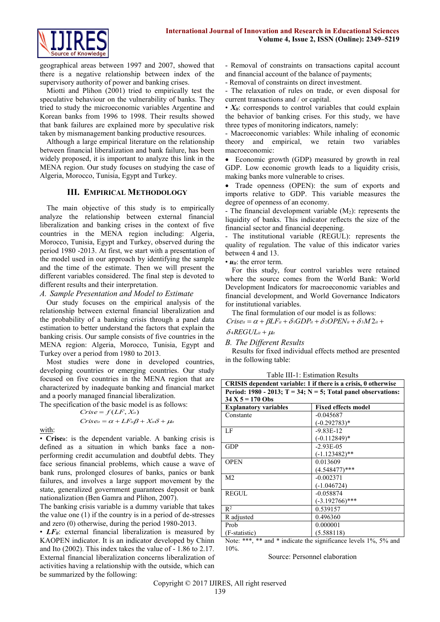

geographical areas between 1997 and 2007, showed that there is a negative relationship between index of the supervisory authority of power and banking crises.

Miotti and Plihon (2001) tried to empirically test the speculative behaviour on the vulnerability of banks. They tried to study the microeconomic variables Argentine and Korean banks from 1996 to 1998. Their results showed that bank failures are explained more by speculative risk taken by mismanagement banking productive resources.

Although a large empirical literature on the relationship between financial liberalization and bank failure, has been widely proposed, it is important to analyze this link in the MENA region. Our study focuses on studying the case of Algeria, Morocco, Tunisia, Egypt and Turkey.

## **III. EMPIRICAL METHODOLOGY**

The main objective of this study is to empirically analyze the relationship between external financial liberalization and banking crises in the context of five countries in the MENA region including: Algeria, Morocco, Tunisia, Egypt and Turkey, observed during the period 1980 -2013. At first, we start with a presentation of the model used in our approach by identifying the sample and the time of the estimate. Then we will present the different variables considered. The final step is devoted to different results and their interpretation.

### *A. Sample Presentation and Model to Estimate*

Our study focuses on the empirical analysis of the relationship between external financial liberalization and the probability of a banking crisis through a panel data estimation to better understand the factors that explain the banking crisis. Our sample consists of five countries in the MENA region: Algeria, Morocco, Tunisia, Egypt and Turkey over a period from 1980 to 2013.

Most studies were done in developed countries, developing countries or emerging countries. Our study focused on five countries in the MENA region that are characterized by inadequate banking and financial market and a poorly managed financial liberalization.

The specification of the basic model is as follows:

$$
Crise = f(LF, Xu)
$$
  
\n
$$
Criseu = \alpha + LFu\beta + Xu\delta + \muu
$$

with:

• Crise<sub>it</sub>: is the dependent variable. A banking crisis is defined as a situation in which banks face a nonperforming credit accumulation and doubtful debts. They face serious financial problems, which cause a wave of bank runs, prolonged closures of banks, panics or bank failures, and involves a large support movement by the state, generalized government guarantees deposit or bank nationalization (Ben Gamra and Plihon, 2007).

The banking crisis variable is a dummy variable that takes the value one (1) if the country is in a period of de-stresses and zero (0) otherwise, during the period 1980-2013.

• *LF<sub>it</sub>*: external financial liberalization is measured by KAOPEN indicator. It is an indicator developed by Chinn and Ito (2002). This index takes the value of - 1.86 to 2.17. External financial liberalization concerns liberalization of activities having a relationship with the outside, which can be summarized by the following:

- Removal of constraints on transactions capital account and financial account of the balance of payments;

- Removal of constraints on direct investment.

- The relaxation of rules on trade, or even disposal for current transactions and / or capital.

 $\cdot$   $X_{it}$ : corresponds to control variables that could explain the behavior of banking crises. For this study, we have three types of monitoring indicators, namely:

- Macroeconomic variables: While inhaling of economic theory and empirical, we retain two variables macroeconomic:

 Economic growth (GDP) measured by growth in real GDP. Low economic growth leads to a liquidity crisis, making banks more vulnerable to crises.

• Trade openness (OPEN): the sum of exports and imports relative to GDP. This variable measures the degree of openness of an economy.

- The financial development variable  $(M_2)$ : represents the liquidity of banks. This indicator reflects the size of the financial sector and financial deepening.

- The institutional variable (REGUL): represents the quality of regulation. The value of this indicator varies between 4 and 13.

• *uit*: the error term.

For this study, four control variables were retained where the source comes from the World Bank: World Development Indicators for macroeconomic variables and financial development, and World Governance Indicators for institutional variables.

The final formulation of our model is as follows:

 $C$ ris $e_{it} = \alpha + \beta L F_{it} + \delta \beta D P_{it} + \delta \beta D P E N_{it} + \delta \beta M 2_{it} +$ 

## $\delta$ <sup>4</sup> $REGUL$ <sub>it</sub> +  $\mu$ <sub>it</sub>

*B. The Different Results*

Results for fixed individual effects method are presented in the following table:

Table III-1: Estimation Results

| CRISIS dependent variable: 1 if there is a crisis, 0 otherwise         |                            |
|------------------------------------------------------------------------|----------------------------|
| Period: 1980 - 2013; $T = 34$ ; $N = 5$ ; Total panel observations:    |                            |
| $34 X 5 = 170$ Obs                                                     |                            |
| <b>Explanatory variables</b>                                           | <b>Fixed effects model</b> |
| Constante                                                              | $-0.045687$                |
|                                                                        | $(-0.292783)*$             |
| LF                                                                     | $-9.83E-12$                |
|                                                                        | $(-0.112849)^*$            |
| <b>GDP</b>                                                             | $-2.93E-05$                |
|                                                                        | $(-1.123482)$ **           |
| <b>OPEN</b>                                                            | 0.013609                   |
|                                                                        | $(4.548477)$ ***           |
| M <sub>2</sub>                                                         | $-0.002371$                |
|                                                                        | $(-1.046724)$              |
| <b>REGUL</b>                                                           | $-0.058874$                |
|                                                                        | $(-3.192766)$ ***          |
| $R^2$                                                                  | 0.539157                   |
| R adjusted                                                             | 0.496360                   |
| Prob                                                                   | 0.000001                   |
| (F-statistic)                                                          | (5.588118)                 |
| Note: *** $**$ and $*$ indicate the significance lavels $10/-50/-$ and |                            |

Note: \*\*\*, \*\* and \* indicate the significance levels 1%, 5% and 10%.

Source: Personnel elaboration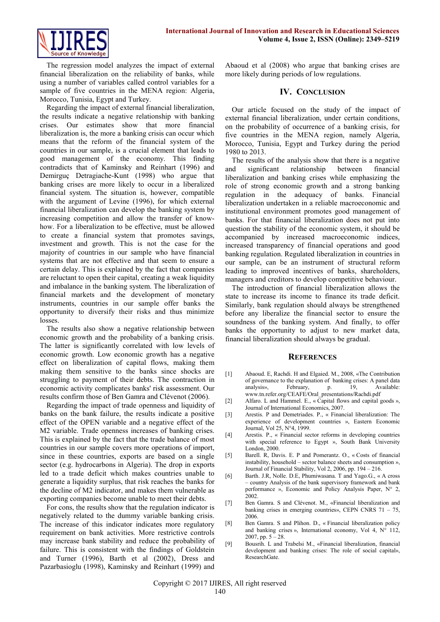

The regression model analyzes the impact of external financial liberalization on the reliability of banks, while using a number of variables called control variables for a sample of five countries in the MENA region: Algeria, Morocco, Tunisia, Egypt and Turkey.

Regarding the impact of external financial liberalization, the results indicate a negative relationship with banking crises. Our estimates show that more financial liberalization is, the more a banking crisis can occur which means that the reform of the financial system of the countries in our sample, is a crucial element that leads to good management of the economy. This finding contradicts that of Kaminsky and Reinhart (1996) and Demirguç Detragiache-Kunt (1998) who argue that banking crises are more likely to occur in a liberalized financial system. The situation is, however, compatible with the argument of Levine (1996), for which external financial liberalization can develop the banking system by increasing competition and allow the transfer of knowhow. For a liberalization to be effective, must be allowed to create a financial system that promotes savings, investment and growth. This is not the case for the majority of countries in our sample who have financial systems that are not effective and that seem to ensure a certain delay. This is explained by the fact that companies are reluctant to open their capital, creating a weak liquidity and imbalance in the banking system. The liberalization of financial markets and the development of monetary instruments, countries in our sample offer banks the opportunity to diversify their risks and thus minimize losses.

The results also show a negative relationship between economic growth and the probability of a banking crisis. The latter is significantly correlated with low levels of economic growth. Low economic growth has a negative effect on liberalization of capital flows, making them making them sensitive to the banks since shocks are struggling to payment of their debts. The contraction in economic activity complicates banks' risk assessment. Our results confirm those of Ben Gamra and Clévenot (2006).

Regarding the impact of trade openness and liquidity of banks on the bank failure, the results indicate a positive effect of the OPEN variable and a negative effect of the M2 variable. Trade openness increases of banking crises. This is explained by the fact that the trade balance of most countries in our sample covers more operations of import, since in these countries, exports are based on a single sector (e.g. hydrocarbons in Algeria). The drop in exports led to a trade deficit which makes countries unable to generate a liquidity surplus, that risk reaches the banks for the decline of M2 indicator, and makes them vulnerable as exporting companies become unable to meet their debts.

For cons, the results show that the regulation indicator is negatively related to the dummy variable banking crisis. The increase of this indicator indicates more regulatory requirement on bank activities. More restrictive controls may increase bank stability and reduce the probability of failure. This is consistent with the findings of Goldstein and Turner (1996), Barth et al (2002), Dress and Pazarbasioglu (1998), Kaminsky and Reinhart (1999) and

Abaoud et al (2008) who argue that banking crises are more likely during periods of low regulations.

## **IV. CONCLUSION**

Our article focused on the study of the impact of external financial liberalization, under certain conditions, on the probability of occurrence of a banking crisis, for five countries in the MENA region, namely Algeria, Morocco, Tunisia, Egypt and Turkey during the period 1980 to 2013.

The results of the analysis show that there is a negative and significant relationship between financial liberalization and banking crises while emphasizing the role of strong economic growth and a strong banking regulation in the adequacy of banks. Financial liberalization undertaken in a reliable macroeconomic and institutional environment promotes good management of banks. For that financial liberalization does not put into question the stability of the economic system, it should be accompanied by increased macroeconomic indices, increased transparency of financial operations and good banking regulation. Regulated liberalization in countries in our sample, can be an instrument of structural reform leading to improved incentives of banks, shareholders, managers and creditors to develop competitive behaviour.

The introduction of financial liberalization allows the state to increase its income to finance its trade deficit. Similarly, bank regulation should always be strengthened before any liberalize the financial sector to ensure the soundness of the banking system. And finally, to offer banks the opportunity to adjust to new market data, financial liberalization should always be gradual.

### **REFERENCES**

- [1] Abaoud. E, Rachdi. H and Elgaied. M., 2008, «The Contribution of governance to the explanation of banking crises: A panel data analysis», February, p. 19, Available: [www.tn.refer.org/CEAFE/Oral\\_presentations/Rachdi.pdf](http://www.tn.refer.org/CEAFE/Oral_presentations/Rachdi.pdf)
- [2] Alfaro. L and Hammel. E., « Capital flows and capital goods », Journal of International Economics, 2007.
- [3] Arestis. P and Demetriades. P., « Financial liberalization: The experience of development countries », Eastern Economic Journal, Vol 25, N°4, 1999.
- [4] Arestis. P., « Financial sector reforms in developing countries with special reference to Egypt », South Bank University London, 2000.
- [5] Barell. R, Davis. E. P and Pomerantz. O., « Costs of financial instability, household – sector balance sheets and consumption », Journal of Financial Stability, Vol 2, 2006, pp. 194 – 216.
- [6] Barth. J.R, Nolle. D.E, Phumiwasana. T and Yago.G., « A cross – country Analysis of the bank supervisory framework and bank performance », Economic and Policy Analysis Paper, N° 2, 2002.
- [7] Ben Gamra. S and Clévenot. M., «Financial liberalization and banking crises in emerging countries», CEPN CNRS 71 – 75, 2006.
- [8] Ben Gamra. S and Plihon. D., « Financial liberalization policy and banking crises », International economy, Vol 4,  $N^{\circ}$  112, 2007, pp.  $5 - 28$ .
- [9] Bousrih. L and Trabelsi M., «Financial liberalization, financial development and banking crises: The role of social capital», ResearchGate.